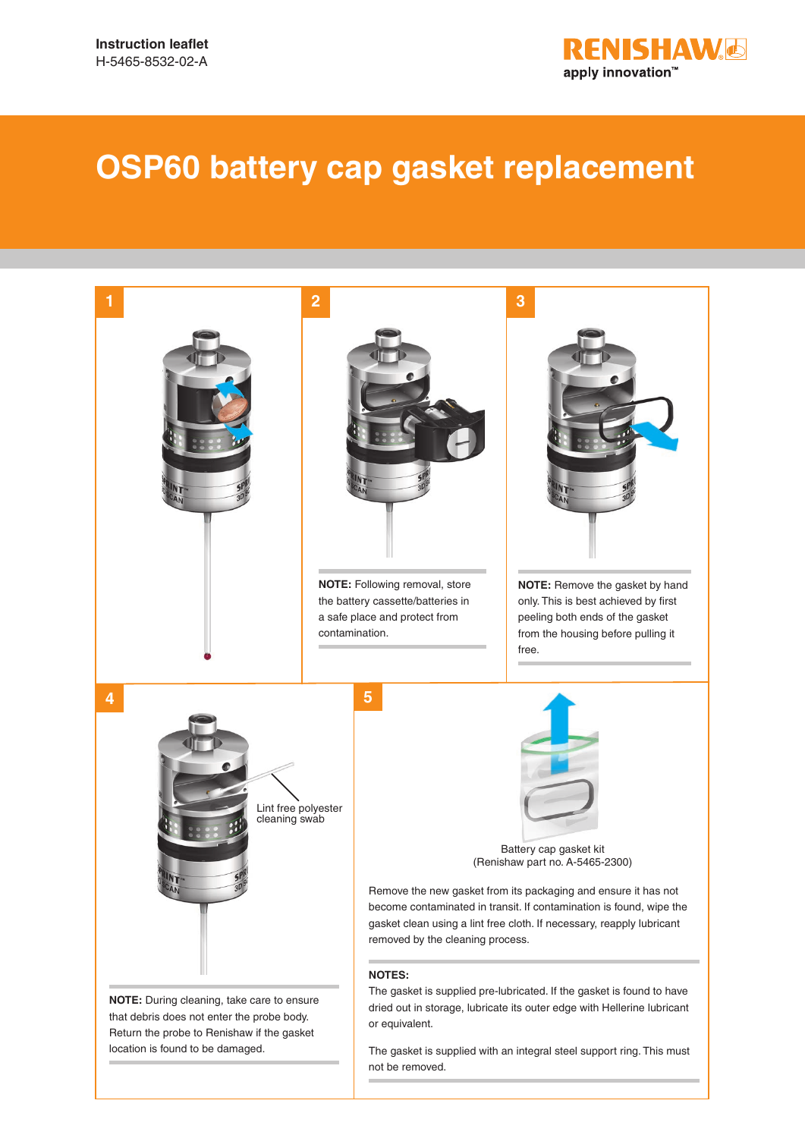

## **OSP60 battery cap gasket replacement**